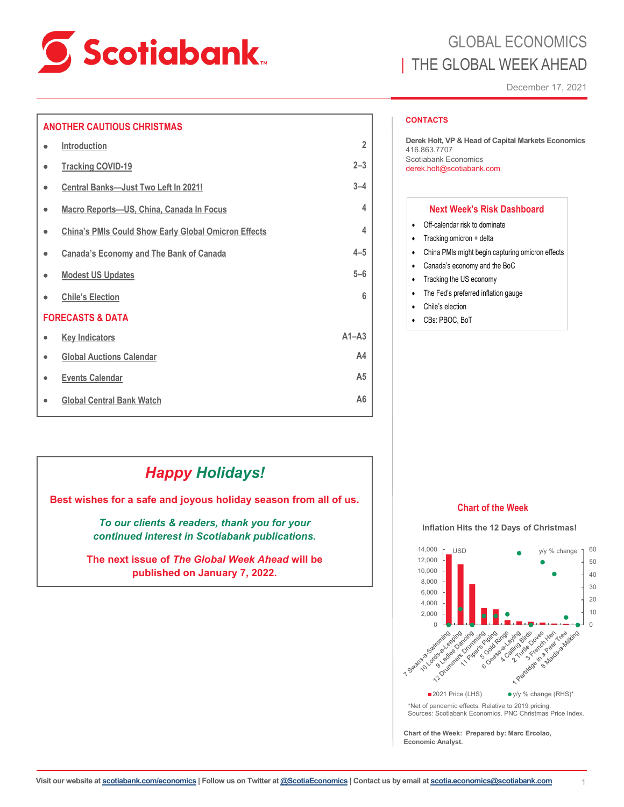

#### **ANOTHER CAUTIOUS CHRISTMAS**

|   | <b>Introduction</b>                                         | $\overline{2}$ |
|---|-------------------------------------------------------------|----------------|
| ٠ | <b>Tracking COVID-19</b>                                    | $2 - 3$        |
| ۰ | Central Banks-Just Two Left In 2021!                        | $3 - 4$        |
| ۰ | Macro Reports-US, China, Canada In Focus                    | 4              |
| ۰ | <b>China's PMIs Could Show Early Global Omicron Effects</b> | 4              |
| ٠ | <b>Canada's Economy and The Bank of Canada</b>              | $4 - 5$        |
| ٠ | <b>Modest US Updates</b>                                    | $5 - 6$        |
|   | <b>Chile's Election</b>                                     | 6              |
|   | <b>FORECASTS &amp; DATA</b>                                 |                |
| ۰ | <b>Key Indicators</b>                                       | $A1 - A3$      |
|   | <b>Global Auctions Calendar</b>                             | A4             |
| ٠ | <b>Events Calendar</b>                                      | A <sub>5</sub> |
| ٠ | <b>Global Central Bank Watch</b>                            | A <sub>6</sub> |

# GLOBAL ECONOMICS THE GLOBAL WEEK AHEAD

December 17, 2021

#### **CONTACTS**

**Derek Holt, VP & Head of Capital Markets Economics**  416.863.7707 Scotiabank Economics derek.holt@scotiabank.com

#### **Next Week's Risk Dashboard**

- Off-calendar risk to dominate
- Tracking omicron + delta
- China PMIs might begin capturing omicron effects
- Canada's economy and the BoC
- Tracking the US economy
- The Fed's preferred inflation gauge
- Chile's election
- CBs: PBOC, BoT

# *Happy Holidays!*

**Best wishes for a safe and joyous holiday season from all of us.**

*To our clients & readers, thank you for your continued interest in Scotiabank publications.*

**The next issue of** *The Global Week Ahead* **will be published on January 7, 2022.**

#### **Chart of the Week**

#### **Inflation Hits the 12 Days of Christmas!**



**Chart of the Week: Prepared by: Marc Ercolao, Economic Analyst.**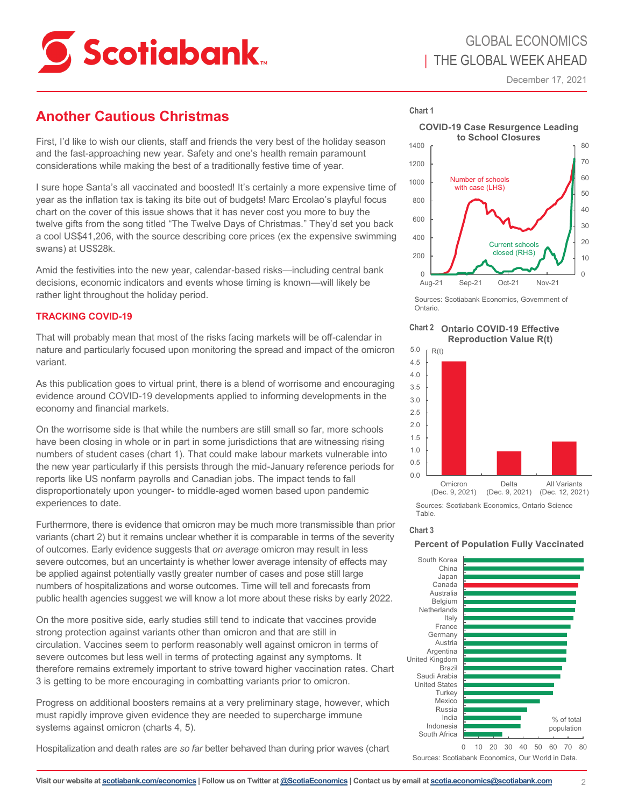<span id="page-1-0"></span>

# **Another Cautious Christmas**

First, I'd like to wish our clients, staff and friends the very best of the holiday season and the fast-approaching new year. Safety and one's health remain paramount considerations while making the best of a traditionally festive time of year.

I sure hope Santa's all vaccinated and boosted! It's certainly a more expensive time of year as the inflation tax is taking its bite out of budgets! Marc Ercolao's playful focus chart on the cover of this issue shows that it has never cost you more to buy the twelve gifts from the song titled "The Twelve Days of Christmas." They'd set you back a cool US\$41,206, with the source describing core prices (ex the expensive swimming swans) at US\$28k.

Amid the festivities into the new year, calendar-based risks—including central bank decisions, economic indicators and events whose timing is known—will likely be rather light throughout the holiday period.

### **TRACKING COVID-19**

That will probably mean that most of the risks facing markets will be off-calendar in nature and particularly focused upon monitoring the spread and impact of the omicron variant.

As this publication goes to virtual print, there is a blend of worrisome and encouraging evidence around COVID-19 developments applied to informing developments in the economy and financial markets.

On the worrisome side is that while the numbers are still small so far, more schools have been closing in whole or in part in some jurisdictions that are witnessing rising numbers of student cases (chart 1). That could make labour markets vulnerable into the new year particularly if this persists through the mid-January reference periods for reports like US nonfarm payrolls and Canadian jobs. The impact tends to fall disproportionately upon younger- to middle-aged women based upon pandemic experiences to date.

Furthermore, there is evidence that omicron may be much more transmissible than prior variants (chart 2) but it remains unclear whether it is comparable in terms of the severity of outcomes. Early evidence suggests that *on average* omicron may result in less severe outcomes, but an uncertainty is whether lower average intensity of effects may be applied against potentially vastly greater number of cases and pose still large numbers of hospitalizations and worse outcomes. Time will tell and forecasts from public health agencies suggest we will know a lot more about these risks by early 2022.

On the more positive side, early studies still tend to indicate that vaccines provide strong protection against variants other than omicron and that are still in circulation. Vaccines seem to perform reasonably well against omicron in terms of severe outcomes but less well in terms of protecting against any symptoms. It therefore remains extremely important to strive toward higher vaccination rates. Chart 3 is getting to be more encouraging in combatting variants prior to omicron.

Progress on additional boosters remains at a very preliminary stage, however, which must rapidly improve given evidence they are needed to supercharge immune systems against omicron (charts 4, 5).

Hospitalization and death rates are *so far* better behaved than during prior waves (chart

**Chart 1**

**COVID-19 Case Resurgence Leading** 



Sources: Scotiabank Economics, Government of Ontario.





Sources: Scotiabank Economics, Ontario Science Table.

#### **Chart 3**

**Percent of Population Fully Vaccinated**

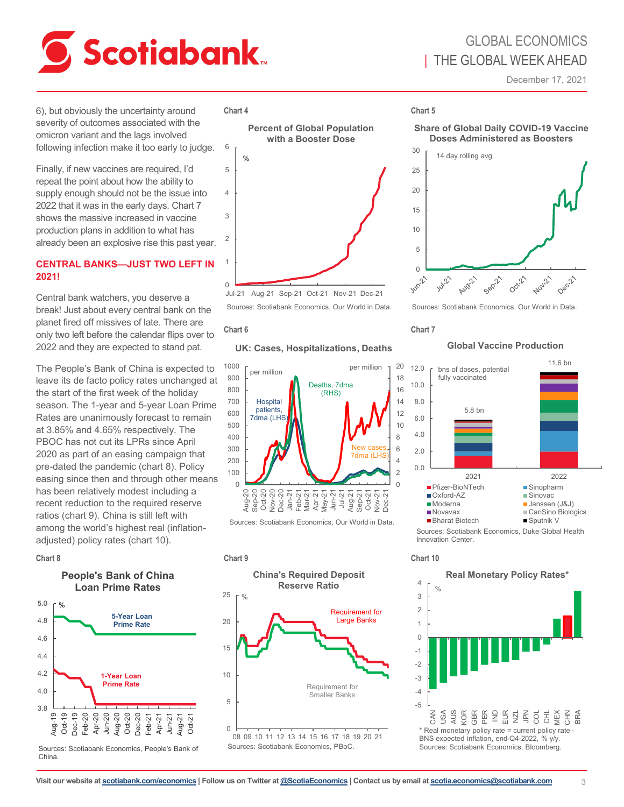<span id="page-2-0"></span>

# GLOBAL ECONOMICS | THE GLOBAL WEEK AHEAD

December 17, 2021

6), but obviously the uncertainty around severity of outcomes associated with the omicron variant and the lags involved following infection make it too early to judge.

Finally, if new vaccines are required, I'd repeat the point about how the ability to supply enough should not be the issue into 2022 that it was in the early days. Chart 7 shows the massive increased in vaccine production plans in addition to what has already been an explosive rise this past year.

#### **CENTRAL BANKS—JUST TWO LEFT IN 2021!**

Central bank watchers, you deserve a break! Just about every central bank on the planet fired off missives of late. There are only two left before the calendar flips over to 2022 and they are expected to stand pat.

The People's Bank of China is expected to leave its de facto policy rates unchanged at the start of the first week of the holiday season. The 1-year and 5-year Loan Prime Rates are unanimously forecast to remain at 3.85% and 4.65% respectively. The PBOC has not cut its LPRs since April 2020 as part of an easing campaign that pre-dated the pandemic (chart 8). Policy easing since then and through other means has been relatively modest including a recent reduction to the required reserve ratios (chart 9). China is still left with among the world's highest real (inflationadjusted) policy rates (chart 10).

### **People's Bank of China Loan Prime Rates**



Sources: Scotiabank Economics, People's Bank of China.

#### **Chart 4 Chart 5**



Jul-21 Aug-21 Sep-21 Oct-21 Nov-21 Dec-21 Sources: Scotiabank Economics, Our World in Data.

#### **Chart 6**

#### **UK: Cases, Hospitalizations, Deaths**



Sources: Scotiabank Economics, Our World in Data.



#### **Share of Global Daily COVID-19 Vaccine Doses Administered as Boosters**



Sources: Scotiabank Economics. Our World in Data.

#### **Chart 7**

#### **Global Vaccine Production**



Innovation Center.

-5 -4 -3 -2 -1  $\Omega$ 1 2 3 4 CAN USA AUS KOR GBR PER IND EUR NZL JPN COL CHL MEX 동 BRA **Real Monetary Policy Rates\***  $0/$ \* Real monetary policy rate = current policy rate - BNS expected inflation, end-Q4-2022, % y/y. Sources: Scotiabank Economics, Bloomberg.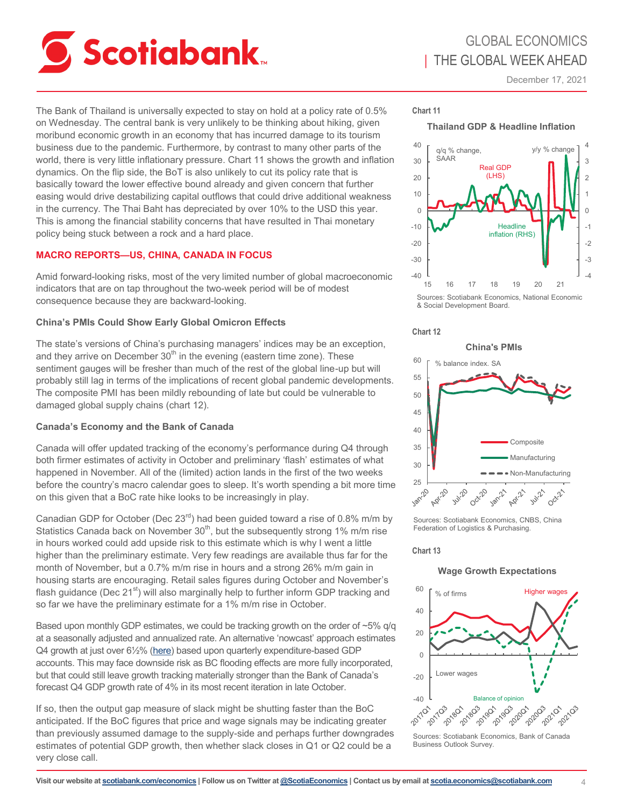<span id="page-3-0"></span>

# GLOBAL ECONOMICS | THE GLOBAL WEEK AHEAD

December 17, 2021

The Bank of Thailand is universally expected to stay on hold at a policy rate of 0.5% on Wednesday. The central bank is very unlikely to be thinking about hiking, given moribund economic growth in an economy that has incurred damage to its tourism business due to the pandemic. Furthermore, by contrast to many other parts of the world, there is very little inflationary pressure. Chart 11 shows the growth and inflation dynamics. On the flip side, the BoT is also unlikely to cut its policy rate that is basically toward the lower effective bound already and given concern that further easing would drive destabilizing capital outflows that could drive additional weakness in the currency. The Thai Baht has depreciated by over 10% to the USD this year. This is among the financial stability concerns that have resulted in Thai monetary policy being stuck between a rock and a hard place.

### **MACRO REPORTS—US, CHINA, CANADA IN FOCUS**

Amid forward-looking risks, most of the very limited number of global macroeconomic indicators that are on tap throughout the two-week period will be of modest consequence because they are backward-looking.

#### **China's PMIs Could Show Early Global Omicron Effects**

The state's versions of China's purchasing managers' indices may be an exception, and they arrive on December  $30<sup>th</sup>$  in the evening (eastern time zone). These sentiment gauges will be fresher than much of the rest of the global line-up but will probably still lag in terms of the implications of recent global pandemic developments. The composite PMI has been mildly rebounding of late but could be vulnerable to damaged global supply chains (chart 12).

#### **Canada's Economy and the Bank of Canada**

Canada will offer updated tracking of the economy's performance during Q4 through both firmer estimates of activity in October and preliminary 'flash' estimates of what happened in November. All of the (limited) action lands in the first of the two weeks before the country's macro calendar goes to sleep. It's worth spending a bit more time on this given that a BoC rate hike looks to be increasingly in play.

Canadian GDP for October (Dec  $23<sup>rd</sup>$ ) had been guided toward a rise of 0.8% m/m by Statistics Canada back on November  $30<sup>th</sup>$ , but the subsequently strong 1% m/m rise in hours worked could add upside risk to this estimate which is why I went a little higher than the preliminary estimate. Very few readings are available thus far for the month of November, but a 0.7% m/m rise in hours and a strong 26% m/m gain in housing starts are encouraging. Retail sales figures during October and November's flash guidance (Dec  $21<sup>st</sup>$ ) will also marginally help to further inform GDP tracking and so far we have the preliminary estimate for a 1% m/m rise in October.

Based upon monthly GDP estimates, we could be tracking growth on the order of  $\sim$ 5% q/q at a seasonally adjusted and annualized rate. An alternative 'nowcast' approach estimates Q4 growth at just over 61/2% [\(here\)](https://www.scotiabank.com/content/dam/scotiabank/sub-brands/scotiabank-economics/english/documents/cdn-gdp-nowcast/cdnnowcast-2021-12-16.pdf) based upon quarterly expenditure-based GDP accounts. This may face downside risk as BC flooding effects are more fully incorporated, but that could still leave growth tracking materially stronger than the Bank of Canada's forecast Q4 GDP growth rate of 4% in its most recent iteration in late October.

If so, then the output gap measure of slack might be shutting faster than the BoC anticipated. If the BoC figures that price and wage signals may be indicating greater than previously assumed damage to the supply-side and perhaps further downgrades estimates of potential GDP growth, then whether slack closes in Q1 or Q2 could be a very close call.

**Chart 11**

**Thailand GDP & Headline Inflation**



Sources: Scotiabank Economics, National Economic & Social Development Board.

**China's PMIs**



#### 60 % balance index SA 55 50 45 40 Composite 35 Manufacturing 30 Non-Manufacturing 25 |<br>Jan-20 Aprilo Jul-20 Oct-20 Apr-21 July 21 **Oct-21**

Sources: Scotiabank Economics, CNBS, China Federation of Logistics & Purchasing.

#### **Chart 13**

#### **Wage Growth Expectations**



Sources: Scotiabank Economics, Bank of Canada Business Outlook Survey.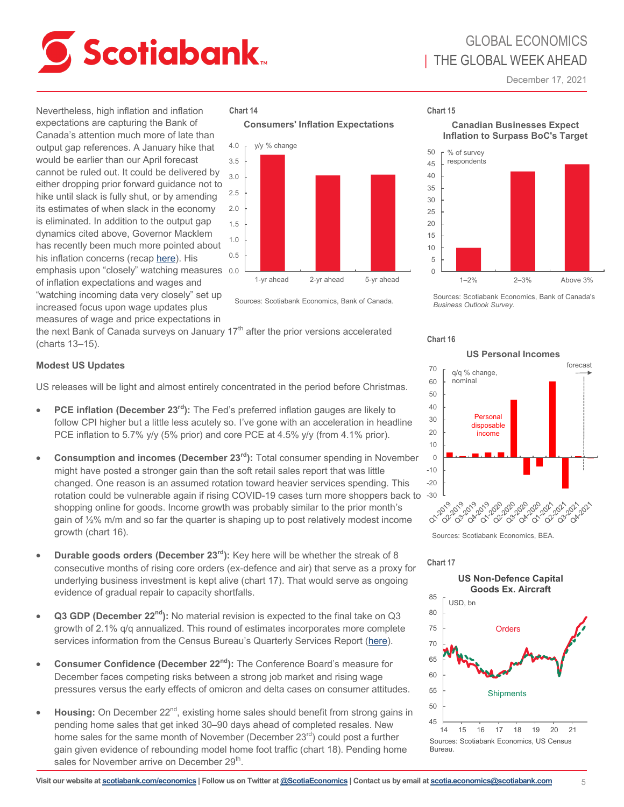<span id="page-4-0"></span>

GLOBAL ECONOMICS | THE GLOBAL WEEK AHEAD

December 17, 2021

Nevertheless, high inflation and inflation expectations are capturing the Bank of Canada's attention much more of late than output gap references. A January hike that would be earlier than our April forecast cannot be ruled out. It could be delivered by either dropping prior forward guidance not to hike until slack is fully shut, or by amending its estimates of when slack in the economy is eliminated. In addition to the output gap dynamics cited above, Governor Macklem has recently been much more pointed about his inflation concerns (recap [here\)](https://www.scotiabank.com/ca/en/about/economics/economics-publications/post.other-publications.economic-indicators.scotia-flash.-december-15--2021--1.html). His emphasis upon "closely" watching measures 0.0 of inflation expectations and wages and "watching incoming data very closely" set up

#### **Chart 14 Chart 15**





Sources: Scotiabank Economics, Bank of Canada.

increased focus upon wage updates plus measures of wage and price expectations in

the next Bank of Canada surveys on January  $17<sup>th</sup>$  after the prior versions accelerated (charts 13–15).

#### **Modest US Updates**

US releases will be light and almost entirely concentrated in the period before Christmas.

- **PCE inflation (December 23rd):** The Fed's preferred inflation gauges are likely to follow CPI higher but a little less acutely so. I've gone with an acceleration in headline PCE inflation to 5.7% y/y (5% prior) and core PCE at 4.5% y/y (from 4.1% prior).
- **Consumption and incomes (December 23rd):** Total consumer spending in November might have posted a stronger gain than the soft retail sales report that was little changed. One reason is an assumed rotation toward heavier services spending. This rotation could be vulnerable again if rising COVID-19 cases turn more shoppers back to -30 shopping online for goods. Income growth was probably similar to the prior month's gain of ½% m/m and so far the quarter is shaping up to post relatively modest income growth (chart 16).
- **Durable goods orders (December 23rd):** Key here will be whether the streak of 8 consecutive months of rising core orders (ex-defence and air) that serve as a proxy for underlying business investment is kept alive (chart 17). That would serve as ongoing evidence of gradual repair to capacity shortfalls.
- **Q3 GDP (December 22nd):** No material revision is expected to the final take on Q3 growth of 2.1% q/q annualized. This round of estimates incorporates more complete services information from the Census Bureau's Quarterly Services Report ([here\)](https://www.census.gov/services/index.html).
- **Consumer Confidence (December 22nd):** The Conference Board's measure for December faces competing risks between a strong job market and rising wage pressures versus the early effects of omicron and delta cases on consumer attitudes.
- Housing: On December 22<sup>nd</sup>, existing home sales should benefit from strong gains in pending home sales that get inked 30–90 days ahead of completed resales. New home sales for the same month of November (December 23<sup>rd</sup>) could post a further gain given evidence of rebounding model home foot traffic (chart 18). Pending home sales for November arrive on December 29 $^{\text{th}}$ .



#### **Canadian Businesses Expect Inflation to Surpass BoC's Target**



Sources: Scotiabank Economics, Bank of Canada's *Business Outlook Survey.*



Sources: Scotiabank Economics, BEA.

**Chart 17**

**Chart 16**

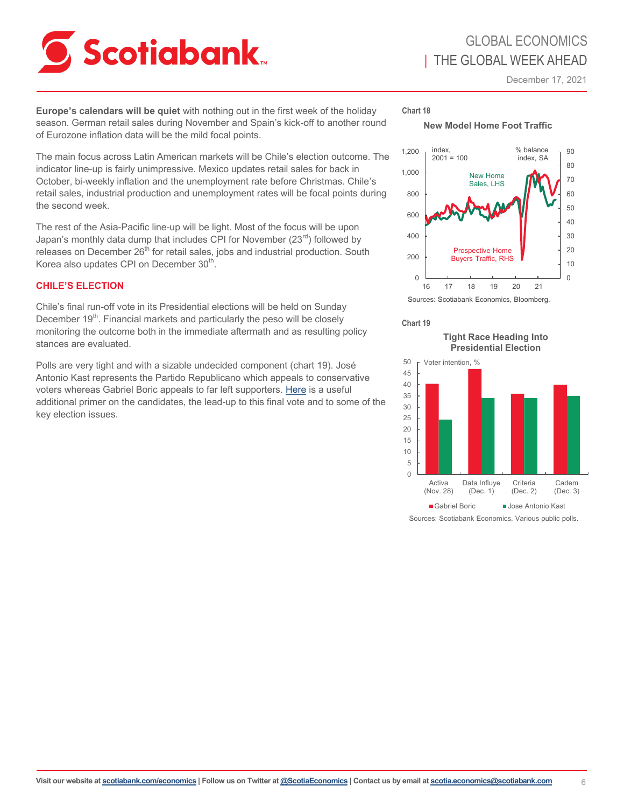<span id="page-5-0"></span>

**Europe's calendars will be quiet** with nothing out in the first week of the holiday season. German retail sales during November and Spain's kick-off to another round of Eurozone inflation data will be the mild focal points.

The main focus across Latin American markets will be Chile's election outcome. The indicator line-up is fairly unimpressive. Mexico updates retail sales for back in October, bi-weekly inflation and the unemployment rate before Christmas. Chile's retail sales, industrial production and unemployment rates will be focal points during the second week.

The rest of the Asia-Pacific line-up will be light. Most of the focus will be upon Japan's monthly data dump that includes CPI for November  $(23^{rd})$  followed by releases on December  $26<sup>th</sup>$  for retail sales, jobs and industrial production. South Korea also updates CPI on December 30 $^{\text{th}}$ .

### **CHILE'S ELECTION**

Chile's final run-off vote in its Presidential elections will be held on Sunday December 19<sup>th</sup>. Financial markets and particularly the peso will be closely monitoring the outcome both in the immediate aftermath and as resulting policy stances are evaluated.

Polls are very tight and with a sizable undecided component (chart 19). José Antonio Kast represents the Partido Republicano which appeals to conservative voters whereas Gabriel Boric appeals to far left supporters. [Here](https://foreignpolicy.com/2021/12/17/chile-presidential-election-runoff-boric-kast-constitution-referendum/) is a useful additional primer on the candidates, the lead-up to this final vote and to some of the key election issues.

## **Chart 18**

**New Model Home Foot Traffic**



Sources: Scotiabank Economics, Bloomberg.

#### **Chart 19**

**Tight Race Heading Into Presidential Election** 



Sources: Scotiabank Economics, Various public polls.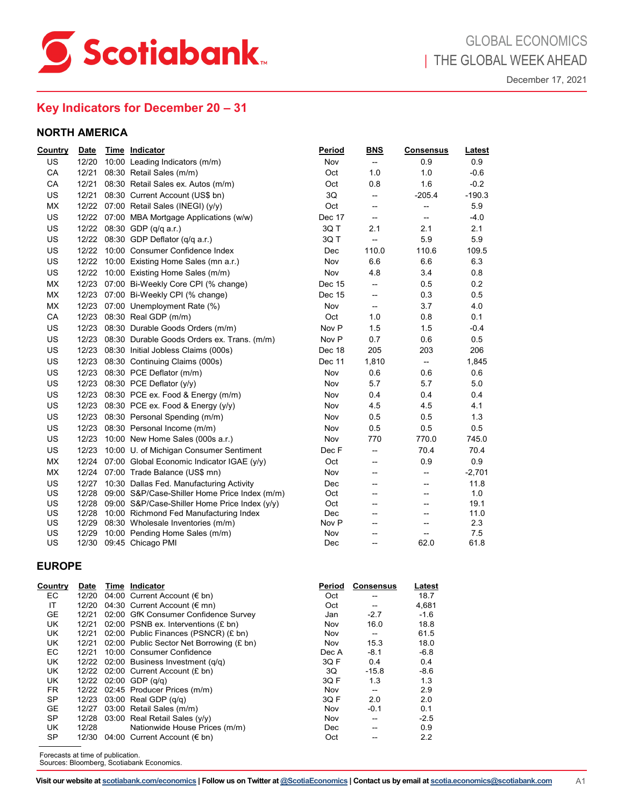<span id="page-6-0"></span>

# **Key Indicators for December 20 – 31**

#### **NORTH AMERICA**

| <b>Country</b> | <b>Date</b> | Time Indicator                                      | Period           | <b>BNS</b>               | <b>Consensus</b>         | Latest   |
|----------------|-------------|-----------------------------------------------------|------------------|--------------------------|--------------------------|----------|
| <b>US</b>      | 12/20       | 10:00 Leading Indicators (m/m)                      | Nov              | $\overline{\phantom{a}}$ | 0.9                      | 0.9      |
| CA             | 12/21       | 08:30 Retail Sales (m/m)                            | Oct              | 1.0                      | 1.0                      | $-0.6$   |
| CA             | 12/21       | 08:30 Retail Sales ex. Autos (m/m)                  | Oct              | 0.8                      | 1.6                      | $-0.2$   |
| <b>US</b>      | 12/21       | 08:30 Current Account (US\$ bn)                     | 3Q               | --                       | $-205.4$                 | $-190.3$ |
| <b>MX</b>      |             | 12/22 07:00 Retail Sales (INEGI) (y/y)              | Oct              | --                       | --                       | 5.9      |
| <b>US</b>      |             | 12/22 07:00 MBA Mortgage Applications (w/w)         | Dec 17           | --                       | --                       | $-4.0$   |
| US             | 12/22       | 08:30 GDP (q/q a.r.)                                | 3QT              | 2.1                      | 2.1                      | 2.1      |
| <b>US</b>      |             | 12/22 08:30 GDP Deflator (q/q a.r.)                 | 3QT              | $\overline{\phantom{a}}$ | 5.9                      | 5.9      |
| <b>US</b>      |             | 12/22 10:00 Consumer Confidence Index               | Dec              | 110.0                    | 110.6                    | 109.5    |
| <b>US</b>      |             | 12/22 10:00 Existing Home Sales (mn a.r.)           | Nov              | 6.6                      | 6.6                      | 6.3      |
| US             |             | 12/22 10:00 Existing Home Sales (m/m)               | Nov              | 4.8                      | 3.4                      | 0.8      |
| <b>MX</b>      |             | 12/23 07:00 Bi-Weekly Core CPI (% change)           | Dec 15           | --                       | 0.5                      | 0.2      |
| <b>MX</b>      | 12/23       | 07:00 Bi-Weekly CPI (% change)                      | Dec 15           | --                       | 0.3                      | 0.5      |
| <b>MX</b>      | 12/23       | 07:00 Unemployment Rate (%)                         | Nov              | --                       | 3.7                      | 4.0      |
| CA             | 12/23       | 08:30 Real GDP (m/m)                                | Oct              | 1.0                      | 0.8                      | 0.1      |
| <b>US</b>      | 12/23       | 08:30 Durable Goods Orders (m/m)                    | Nov P            | 1.5                      | 1.5                      | $-0.4$   |
| <b>US</b>      | 12/23       | 08:30 Durable Goods Orders ex. Trans. (m/m)         | Nov <sub>P</sub> | 0.7                      | 0.6                      | 0.5      |
| US             | 12/23       | 08:30 Initial Jobless Claims (000s)                 | Dec 18           | 205                      | 203                      | 206      |
| US             | 12/23       | 08:30 Continuing Claims (000s)                      | Dec 11           | 1,810                    | $\overline{\phantom{a}}$ | 1,845    |
| US             | 12/23       | 08:30 PCE Deflator (m/m)                            | Nov              | 0.6                      | 0.6                      | 0.6      |
| <b>US</b>      | 12/23       | 08:30 PCE Deflator (y/y)                            | Nov              | 5.7                      | 5.7                      | 5.0      |
| US             | 12/23       | 08:30 PCE ex. Food & Energy (m/m)                   | Nov              | 0.4                      | 0.4                      | 0.4      |
| US             |             | 12/23 08:30 PCE ex. Food & Energy (y/y)             | Nov              | 4.5                      | 4.5                      | 4.1      |
| US             |             | 12/23 08:30 Personal Spending (m/m)                 | Nov              | 0.5                      | 0.5                      | 1.3      |
| US             |             | 12/23 08:30 Personal Income (m/m)                   | Nov              | 0.5                      | 0.5                      | 0.5      |
| US             | 12/23       | 10:00 New Home Sales (000s a.r.)                    | Nov              | 770                      | 770.0                    | 745.0    |
| <b>US</b>      | 12/23       | 10:00 U. of Michigan Consumer Sentiment             | Dec F            | $\overline{\phantom{a}}$ | 70.4                     | 70.4     |
| <b>MX</b>      |             | 12/24 07:00 Global Economic Indicator IGAE (y/y)    | Oct              | $\overline{\phantom{a}}$ | 0.9                      | 0.9      |
| <b>MX</b>      |             | 12/24 07:00 Trade Balance (US\$ mn)                 | Nov              | $\overline{\phantom{a}}$ | --                       | $-2,701$ |
| <b>US</b>      | 12/27       | 10:30 Dallas Fed. Manufacturing Activity            | Dec              | --                       | --                       | 11.8     |
| <b>US</b>      | 12/28       | 09:00 S&P/Case-Shiller Home Price Index (m/m)       | Oct              | --                       | --                       | 1.0      |
| US             |             | 12/28 09:00 S&P/Case-Shiller Home Price Index (y/y) | Oct              | --                       | --                       | 19.1     |
| US             | 12/28       | 10:00 Richmond Fed Manufacturing Index              | Dec              | --                       |                          | 11.0     |
| US             | 12/29       | 08:30 Wholesale Inventories (m/m)                   | Nov <sub>P</sub> | --                       | $\overline{\phantom{a}}$ | 2.3      |
| US             | 12/29       | 10:00 Pending Home Sales (m/m)                      | Nov              | --                       | --                       | 7.5      |
| US             | 12/30       | 09:45 Chicago PMI                                   | Dec              |                          | 62.0                     | 61.8     |

| <b>Country</b>                    | <b>Date</b> | <b>Time Indicator</b>                     | Period | <b>Consensus</b>  | <u>Latest</u> |  |
|-----------------------------------|-------------|-------------------------------------------|--------|-------------------|---------------|--|
| EC.                               | 12/20       | 04:00 Current Account (€ bn)              | Oct    | --                | 18.7          |  |
| IT                                | 12/20       | 04:30 Current Account (€ mn)              | Oct    | --                | 4,681         |  |
| <b>GE</b>                         | 12/21       | 02:00 GfK Consumer Confidence Survey      | Jan    | $-2.7$            | $-1.6$        |  |
| UK                                | 12/21       | 02:00 PSNB ex. Interventions $(E \, bn)$  | Nov    | 16.0              | 18.8          |  |
| UK                                | 12/21       | 02:00 Public Finances (PSNCR) (£ bn)      | Nov    | --                | 61.5          |  |
| UK                                | 12/21       | 02:00 Public Sector Net Borrowing (£ bn)  | Nov    | 15.3              | 18.0          |  |
| EC                                | 12/21       | 10:00 Consumer Confidence                 | Dec A  | $-8.1$            | $-6.8$        |  |
| UK.                               | 12/22       | 02:00 Business Investment (q/q)           | 3QF    | 0.4               | 0.4           |  |
| UK.                               | 12/22       | 02:00 Current Account (£ bn)              | 3Q     | $-15.8$           | $-8.6$        |  |
| UK.                               | 12/22       | $02:00$ GDP $(q/q)$                       | 3QF    | 1.3               | 1.3           |  |
| <b>FR</b>                         | 12/22       | 02:45 Producer Prices (m/m)               | Nov    | --                | 2.9           |  |
| <b>SP</b>                         | 12/23       | 03:00 Real GDP $(q/q)$                    | 3Q F   | 2.0               | 2.0           |  |
| <b>GE</b>                         | 12/27       | 03:00 Retail Sales (m/m)                  | Nov    | $-0.1$            | 0.1           |  |
| <b>SP</b>                         | 12/28       | 03:00 Real Retail Sales (y/y)             | Nov    | --                | $-2.5$        |  |
| UK.                               | 12/28       | Nationwide House Prices (m/m)             | Dec    | --                | 0.9           |  |
| <b>SP</b>                         | 12/30       | 04:00 Current Account (€ bn)              | Oct    | $\hspace{0.05cm}$ | 2.2           |  |
| Forecasts at time of publication. |             | Sources: Bloomberg, Scotiabank Economics. |        |                   |               |  |

Sources: Bloomberg, Scotiabank Economics.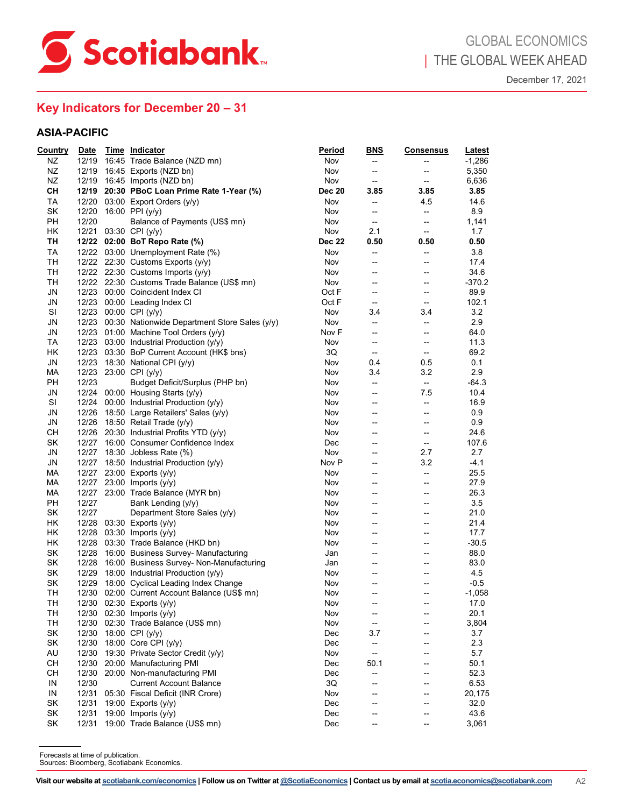

# **Key Indicators for December 20 – 31**

| ΝZ<br>ΝZ<br>NZ<br><b>CH</b><br>TA<br>SK<br>PH<br>HK<br>TH<br>TA<br>TH<br>TН<br>TH<br>JN<br>JN<br>SI<br>JN<br>JN<br>TA<br>HK<br>JN | 12/20<br>12/23 00:00 CPI (y/y)                                        | 12/19 16:45 Trade Balance (NZD mn)<br>12/19 16:45 Exports (NZD bn)<br>12/19 16:45 Imports (NZD bn)<br>12/19 20:30 PBoC Loan Prime Rate 1-Year (%)<br>12/20 03:00 Export Orders (y/y)<br>12/20 16:00 PPI (y/y)<br>Balance of Payments (US\$ mn)<br>12/21 03:30 CPI (y/y)<br>12/22 02:00 BoT Repo Rate (%)<br>12/22 03:00 Unemployment Rate (%)<br>12/22 22:30 Customs Exports (y/y)<br>12/22 22:30 Customs Imports $(y/y)$<br>12/22 22:30 Customs Trade Balance (US\$ mn) | Nov<br>Nov<br>Nov<br><b>Dec 20</b><br>Nov<br>Nov<br>Nov<br>Nov<br><b>Dec 22</b><br>Nov | --<br>--<br>--<br>3.85<br>--<br>$\overline{\phantom{a}}$<br>--<br>2.1<br>0.50 | --<br>--<br>$\overline{\phantom{a}}$<br>3.85<br>4.5<br>$\overline{\phantom{a}}$<br>-- | $-1,286$<br>5,350<br>6,636<br>3.85<br>14.6<br>8.9<br>1,141 |
|-----------------------------------------------------------------------------------------------------------------------------------|-----------------------------------------------------------------------|--------------------------------------------------------------------------------------------------------------------------------------------------------------------------------------------------------------------------------------------------------------------------------------------------------------------------------------------------------------------------------------------------------------------------------------------------------------------------|----------------------------------------------------------------------------------------|-------------------------------------------------------------------------------|---------------------------------------------------------------------------------------|------------------------------------------------------------|
|                                                                                                                                   |                                                                       |                                                                                                                                                                                                                                                                                                                                                                                                                                                                          |                                                                                        |                                                                               |                                                                                       |                                                            |
|                                                                                                                                   |                                                                       |                                                                                                                                                                                                                                                                                                                                                                                                                                                                          |                                                                                        |                                                                               |                                                                                       |                                                            |
|                                                                                                                                   |                                                                       |                                                                                                                                                                                                                                                                                                                                                                                                                                                                          |                                                                                        |                                                                               |                                                                                       |                                                            |
|                                                                                                                                   |                                                                       |                                                                                                                                                                                                                                                                                                                                                                                                                                                                          |                                                                                        |                                                                               |                                                                                       |                                                            |
|                                                                                                                                   |                                                                       |                                                                                                                                                                                                                                                                                                                                                                                                                                                                          |                                                                                        |                                                                               |                                                                                       |                                                            |
|                                                                                                                                   |                                                                       |                                                                                                                                                                                                                                                                                                                                                                                                                                                                          |                                                                                        |                                                                               |                                                                                       |                                                            |
|                                                                                                                                   |                                                                       |                                                                                                                                                                                                                                                                                                                                                                                                                                                                          |                                                                                        |                                                                               |                                                                                       |                                                            |
|                                                                                                                                   |                                                                       |                                                                                                                                                                                                                                                                                                                                                                                                                                                                          |                                                                                        |                                                                               | $\overline{\phantom{a}}$                                                              | 1.7                                                        |
|                                                                                                                                   |                                                                       |                                                                                                                                                                                                                                                                                                                                                                                                                                                                          |                                                                                        |                                                                               | 0.50                                                                                  | 0.50                                                       |
|                                                                                                                                   |                                                                       |                                                                                                                                                                                                                                                                                                                                                                                                                                                                          |                                                                                        | --                                                                            | $\overline{\phantom{a}}$                                                              | 3.8                                                        |
|                                                                                                                                   |                                                                       |                                                                                                                                                                                                                                                                                                                                                                                                                                                                          | Nov                                                                                    | $\overline{\phantom{a}}$                                                      | --                                                                                    | 17.4                                                       |
|                                                                                                                                   |                                                                       |                                                                                                                                                                                                                                                                                                                                                                                                                                                                          | Nov<br>Nov                                                                             | --<br>--                                                                      | $\hspace{0.05cm} -\hspace{0.05cm}$<br>--                                              | 34.6<br>$-370.2$                                           |
|                                                                                                                                   |                                                                       | 12/23 00:00 Coincident Index CI                                                                                                                                                                                                                                                                                                                                                                                                                                          | Oct F                                                                                  | --                                                                            | $\overline{\phantom{a}}$                                                              | 89.9                                                       |
|                                                                                                                                   |                                                                       | 12/23 00:00 Leading Index CI                                                                                                                                                                                                                                                                                                                                                                                                                                             | Oct F                                                                                  | $\overline{\phantom{a}}$                                                      | $\overline{\phantom{a}}$                                                              | 102.1                                                      |
|                                                                                                                                   |                                                                       |                                                                                                                                                                                                                                                                                                                                                                                                                                                                          | Nov                                                                                    | 3.4                                                                           | 3.4                                                                                   | 3.2                                                        |
|                                                                                                                                   |                                                                       | 12/23 00:30 Nationwide Department Store Sales (y/y)                                                                                                                                                                                                                                                                                                                                                                                                                      | Nov                                                                                    | --                                                                            | --                                                                                    | 2.9                                                        |
|                                                                                                                                   |                                                                       | 12/23 01:00 Machine Tool Orders (y/y)                                                                                                                                                                                                                                                                                                                                                                                                                                    | Nov F                                                                                  | --                                                                            | --                                                                                    | 64.0                                                       |
|                                                                                                                                   |                                                                       | 12/23 03:00 Industrial Production (y/y)                                                                                                                                                                                                                                                                                                                                                                                                                                  | Nov                                                                                    | --                                                                            | --                                                                                    | 11.3                                                       |
|                                                                                                                                   |                                                                       | 12/23 03:30 BoP Current Account (HK\$ bns)                                                                                                                                                                                                                                                                                                                                                                                                                               | 3Q                                                                                     | $\overline{\phantom{a}}$                                                      | $\overline{\phantom{a}}$                                                              | 69.2                                                       |
|                                                                                                                                   |                                                                       | 12/23 18:30 National CPI (y/y)                                                                                                                                                                                                                                                                                                                                                                                                                                           | Nov                                                                                    | 0.4                                                                           | 0.5                                                                                   | 0.1                                                        |
| МA                                                                                                                                |                                                                       | 12/23 23:00 CPI (y/y)                                                                                                                                                                                                                                                                                                                                                                                                                                                    | Nov                                                                                    | 3.4                                                                           | 3.2                                                                                   | 2.9                                                        |
| PH                                                                                                                                | 12/23                                                                 | Budget Deficit/Surplus (PHP bn)                                                                                                                                                                                                                                                                                                                                                                                                                                          | Nov                                                                                    | $\overline{\phantom{a}}$                                                      | $\overline{\phantom{a}}$                                                              | $-64.3$                                                    |
| JN                                                                                                                                |                                                                       | 12/24 00:00 Housing Starts (y/y)                                                                                                                                                                                                                                                                                                                                                                                                                                         | Nov                                                                                    | --                                                                            | 7.5                                                                                   | 10.4                                                       |
| SI                                                                                                                                |                                                                       | 12/24 00:00 Industrial Production (y/y)                                                                                                                                                                                                                                                                                                                                                                                                                                  | Nov                                                                                    | --                                                                            | $\overline{\phantom{a}}$                                                              | 16.9                                                       |
| JN                                                                                                                                |                                                                       | 12/26 18:50 Large Retailers' Sales (y/y)                                                                                                                                                                                                                                                                                                                                                                                                                                 | Nov                                                                                    | --                                                                            | $\hspace{0.05cm} -\hspace{0.05cm}$                                                    | 0.9                                                        |
| JN                                                                                                                                |                                                                       | 12/26 18:50 Retail Trade (y/y)                                                                                                                                                                                                                                                                                                                                                                                                                                           | Nov                                                                                    | --                                                                            | --                                                                                    | 0.9                                                        |
| CН                                                                                                                                |                                                                       | 12/26 20:30 Industrial Profits YTD (y/y)                                                                                                                                                                                                                                                                                                                                                                                                                                 | Nov                                                                                    | --                                                                            | $\hspace{0.05cm} -\hspace{0.05cm}$                                                    | 24.6                                                       |
| SK                                                                                                                                |                                                                       | 12/27 16:00 Consumer Confidence Index                                                                                                                                                                                                                                                                                                                                                                                                                                    | Dec                                                                                    | --                                                                            | $\overline{\phantom{a}}$                                                              | 107.6                                                      |
| JN                                                                                                                                |                                                                       | 12/27 18:30 Jobless Rate (%)                                                                                                                                                                                                                                                                                                                                                                                                                                             | Nov                                                                                    | --                                                                            | 2.7                                                                                   | 2.7                                                        |
| JN                                                                                                                                |                                                                       | 12/27 18:50 Industrial Production $(y/y)$                                                                                                                                                                                                                                                                                                                                                                                                                                | Nov P                                                                                  | --                                                                            | 3.2                                                                                   | $-4.1$                                                     |
| MA                                                                                                                                |                                                                       | 12/27 23:00 Exports (y/y)                                                                                                                                                                                                                                                                                                                                                                                                                                                | Nov                                                                                    | --                                                                            | $\overline{\phantom{a}}$                                                              | 25.5                                                       |
| MA                                                                                                                                |                                                                       | 12/27 23:00 Imports (y/y)                                                                                                                                                                                                                                                                                                                                                                                                                                                | Nov                                                                                    | --                                                                            | $\overline{\phantom{a}}$                                                              | 27.9                                                       |
| МA                                                                                                                                |                                                                       | 12/27 23:00 Trade Balance (MYR bn)                                                                                                                                                                                                                                                                                                                                                                                                                                       | Nov                                                                                    | --                                                                            | $\overline{\phantom{a}}$                                                              | 26.3                                                       |
| PH                                                                                                                                | 12/27                                                                 | Bank Lending (y/y)                                                                                                                                                                                                                                                                                                                                                                                                                                                       | Nov                                                                                    | --                                                                            | $\overline{\phantom{a}}$                                                              | 3.5                                                        |
| SK                                                                                                                                | 12/27                                                                 | Department Store Sales (y/y)                                                                                                                                                                                                                                                                                                                                                                                                                                             | Nov                                                                                    | $\overline{\phantom{a}}$                                                      | $\overline{\phantom{a}}$                                                              | 21.0                                                       |
| HК                                                                                                                                |                                                                       | 12/28 03:30 Exports (y/y)                                                                                                                                                                                                                                                                                                                                                                                                                                                | Nov                                                                                    | --                                                                            | $\hspace{0.05cm} -\hspace{0.05cm}$                                                    | 21.4                                                       |
| <b>HK</b>                                                                                                                         |                                                                       | 12/28 03:30 Imports (y/y)                                                                                                                                                                                                                                                                                                                                                                                                                                                | Nov                                                                                    | --                                                                            | --                                                                                    | 17.7                                                       |
| HK                                                                                                                                |                                                                       | 12/28 03:30 Trade Balance (HKD bn)                                                                                                                                                                                                                                                                                                                                                                                                                                       | Nov                                                                                    | --                                                                            | $\overline{\phantom{a}}$                                                              | $-30.5$                                                    |
| SK                                                                                                                                |                                                                       | 12/28 16:00 Business Survey- Manufacturing                                                                                                                                                                                                                                                                                                                                                                                                                               | Jan                                                                                    | --                                                                            | --                                                                                    | 88.0                                                       |
| SK                                                                                                                                |                                                                       | 12/28 16:00 Business Survey- Non-Manufacturing                                                                                                                                                                                                                                                                                                                                                                                                                           | Jan                                                                                    | --                                                                            | $\overline{\phantom{a}}$                                                              | 83.0                                                       |
| SK                                                                                                                                |                                                                       | 12/29 18:00 Industrial Production (y/y)                                                                                                                                                                                                                                                                                                                                                                                                                                  | Nov                                                                                    | --                                                                            | $\overline{\phantom{a}}$                                                              | 4.5                                                        |
| SK                                                                                                                                |                                                                       | 12/29 18:00 Cyclical Leading Index Change                                                                                                                                                                                                                                                                                                                                                                                                                                | Nov                                                                                    | ÷                                                                             | --                                                                                    | $-0.5$                                                     |
| TH                                                                                                                                |                                                                       | 12/30 02:00 Current Account Balance (US\$ mn)                                                                                                                                                                                                                                                                                                                                                                                                                            | Nov                                                                                    |                                                                               |                                                                                       | $-1,058$                                                   |
| TН<br>TH                                                                                                                          |                                                                       | 12/30 02:30 Exports (y/y)<br>12/30 02:30 Imports (y/y)                                                                                                                                                                                                                                                                                                                                                                                                                   | Nov<br>Nov                                                                             | --                                                                            | --                                                                                    | 17.0<br>20.1                                               |
| TH                                                                                                                                |                                                                       | 12/30 02:30 Trade Balance (US\$ mn)                                                                                                                                                                                                                                                                                                                                                                                                                                      | Nov                                                                                    | --                                                                            | --<br>--                                                                              | 3,804                                                      |
| SK                                                                                                                                |                                                                       | 12/30 18:00 CPI (y/y)                                                                                                                                                                                                                                                                                                                                                                                                                                                    | Dec                                                                                    | 3.7                                                                           | --                                                                                    | 3.7                                                        |
| SK                                                                                                                                |                                                                       | 12/30 18:00 Core CPI (y/y)                                                                                                                                                                                                                                                                                                                                                                                                                                               | Dec                                                                                    |                                                                               |                                                                                       | 2.3                                                        |
|                                                                                                                                   |                                                                       |                                                                                                                                                                                                                                                                                                                                                                                                                                                                          |                                                                                        |                                                                               |                                                                                       | 5.7                                                        |
|                                                                                                                                   |                                                                       |                                                                                                                                                                                                                                                                                                                                                                                                                                                                          |                                                                                        |                                                                               | --                                                                                    | 50.1                                                       |
|                                                                                                                                   |                                                                       |                                                                                                                                                                                                                                                                                                                                                                                                                                                                          |                                                                                        | --                                                                            | --                                                                                    | 52.3                                                       |
|                                                                                                                                   |                                                                       |                                                                                                                                                                                                                                                                                                                                                                                                                                                                          |                                                                                        |                                                                               |                                                                                       | 6.53                                                       |
|                                                                                                                                   |                                                                       |                                                                                                                                                                                                                                                                                                                                                                                                                                                                          |                                                                                        | --                                                                            | $\overline{\phantom{a}}$                                                              | 20,175                                                     |
| SK                                                                                                                                |                                                                       |                                                                                                                                                                                                                                                                                                                                                                                                                                                                          | Dec                                                                                    |                                                                               | --                                                                                    | 32.0                                                       |
|                                                                                                                                   |                                                                       |                                                                                                                                                                                                                                                                                                                                                                                                                                                                          | Dec                                                                                    |                                                                               | --                                                                                    | 43.6                                                       |
|                                                                                                                                   | 12/31                                                                 | 19:00 Trade Balance (US\$ mn)                                                                                                                                                                                                                                                                                                                                                                                                                                            | Dec                                                                                    | --                                                                            | --                                                                                    | 3,061                                                      |
| SK<br>SK                                                                                                                          |                                                                       |                                                                                                                                                                                                                                                                                                                                                                                                                                                                          |                                                                                        |                                                                               |                                                                                       |                                                            |
| AU<br><b>CH</b><br><b>CH</b><br>IN<br>IN                                                                                          | 12/30<br>12/30<br>12/31<br>12/31<br>Forecasts at time of publication. | 19:30 Private Sector Credit (y/y)<br>12/30 20:00 Manufacturing PMI<br>12/30 20:00 Non-manufacturing PMI<br><b>Current Account Balance</b><br>12/31 05:30 Fiscal Deficit (INR Crore)<br>19:00 Exports $(y/y)$<br>19:00 Imports $(y/y)$<br>Sources: Bloomberg, Scotiabank Economics.                                                                                                                                                                                       | Nov<br>Dec<br>Dec<br>3Q<br>Nov                                                         | --<br>--<br>50.1                                                              | --<br>--<br>--                                                                        |                                                            |

Sources: Bloomberg, Scotiabank Economics.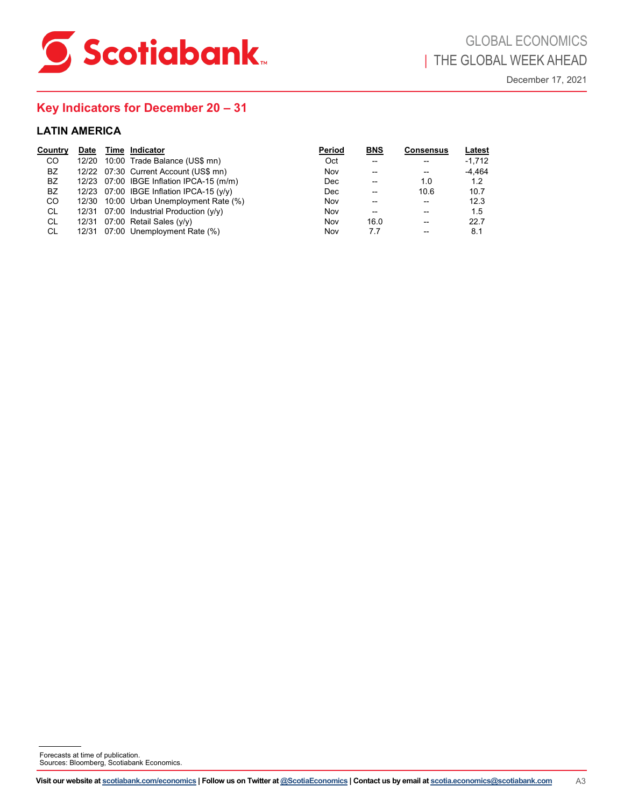

# **Key Indicators for December 20 – 31**

| <b>LATIN AMERICA</b><br>Country                                | Date  | Time Indicator                                                                                                                                                                                                                                                                                                              | Period                                                                   | BNS                                                                                                                   | <b>Consensus</b>                                                                                                                            | Latest                                                                  |  |
|----------------------------------------------------------------|-------|-----------------------------------------------------------------------------------------------------------------------------------------------------------------------------------------------------------------------------------------------------------------------------------------------------------------------------|--------------------------------------------------------------------------|-----------------------------------------------------------------------------------------------------------------------|---------------------------------------------------------------------------------------------------------------------------------------------|-------------------------------------------------------------------------|--|
| $_{\rm CO}$<br>BZ<br>BZ<br>BZ<br>$_{\rm CO}$<br>CL<br>CL<br>CL | 12/20 | 10:00 Trade Balance (US\$ mn)<br>12/22 07:30 Current Account (US\$ mn)<br>12/23 07:00 IBGE Inflation IPCA-15 (m/m)<br>12/23 07:00 IBGE Inflation IPCA-15 (y/y)<br>12/30 10:00 Urban Unemployment Rate (%)<br>12/31 07:00 Industrial Production (y/y)<br>12/31 07:00 Retail Sales (y/y)<br>12/31 07:00 Unemployment Rate (%) | Oct<br>Nov<br>Dec<br>$\mathop{\mathsf{Dec}}$<br>Nov<br>Nov<br>Nov<br>Nov | $\overline{\phantom{a}}$<br>--<br>--<br>$\overline{\phantom{a}}$<br>--<br>$\overline{\phantom{a}}$<br>16.0<br>$7.7\,$ | --<br>$\overline{\phantom{a}}$<br>$1.0\,$<br>10.6<br>$\overline{\phantom{a}}$<br>--<br>$\overline{\phantom{a}}$<br>$\overline{\phantom{a}}$ | $-1,712$<br>$-4,464$<br>$1.2$<br>10.7<br>12.3<br>$1.5\,$<br>22.7<br>8.1 |  |
|                                                                |       |                                                                                                                                                                                                                                                                                                                             |                                                                          |                                                                                                                       |                                                                                                                                             |                                                                         |  |
|                                                                |       |                                                                                                                                                                                                                                                                                                                             |                                                                          |                                                                                                                       |                                                                                                                                             |                                                                         |  |
|                                                                |       |                                                                                                                                                                                                                                                                                                                             |                                                                          |                                                                                                                       |                                                                                                                                             |                                                                         |  |
|                                                                |       |                                                                                                                                                                                                                                                                                                                             |                                                                          |                                                                                                                       |                                                                                                                                             |                                                                         |  |
|                                                                |       |                                                                                                                                                                                                                                                                                                                             |                                                                          |                                                                                                                       |                                                                                                                                             |                                                                         |  |
|                                                                |       |                                                                                                                                                                                                                                                                                                                             |                                                                          |                                                                                                                       |                                                                                                                                             |                                                                         |  |
|                                                                |       |                                                                                                                                                                                                                                                                                                                             |                                                                          |                                                                                                                       |                                                                                                                                             |                                                                         |  |
|                                                                |       |                                                                                                                                                                                                                                                                                                                             |                                                                          |                                                                                                                       |                                                                                                                                             |                                                                         |  |
|                                                                |       |                                                                                                                                                                                                                                                                                                                             |                                                                          |                                                                                                                       |                                                                                                                                             |                                                                         |  |
|                                                                |       | Forecasts at time of publication.<br>Sources: Bloomberg, Scotiabank Economics.                                                                                                                                                                                                                                              |                                                                          |                                                                                                                       |                                                                                                                                             |                                                                         |  |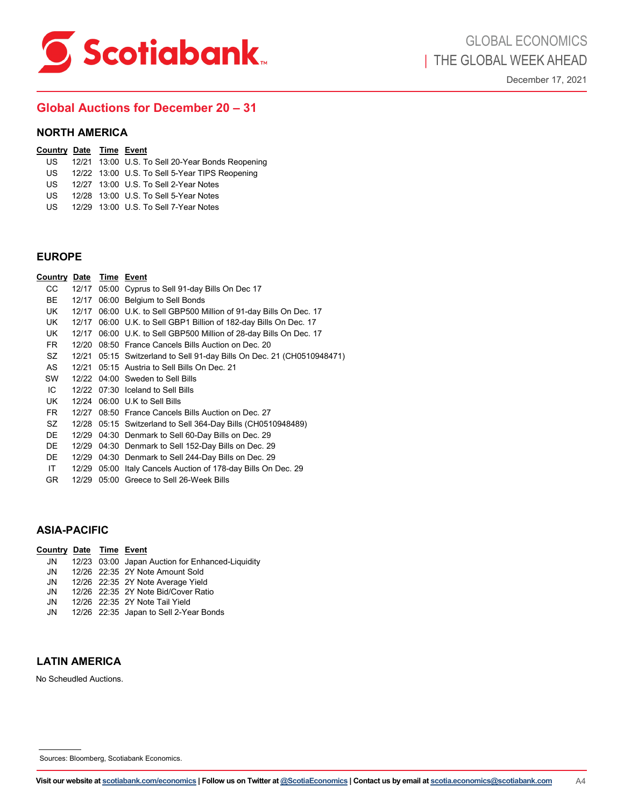<span id="page-9-0"></span>

## **Global Auctions for December 20 – 31**

#### **NORTH AMERICA**

#### **Country Date Time Event**

- US 12/21 13:00 U.S. To Sell 20-Year Bonds Reopening<br>US 12/22 13:00 U.S. To Sell 5-Year TIPS Reopening
- US 12/22 13:00 U.S. To Sell 5-Year TIPS Reopening<br>US 12/27 13:00 U.S. To Sell 2-Year Notes
- 12/27 13:00 U.S. To Sell 2-Year Notes
- US 12/28 13:00 U.S. To Sell 5-Year Notes
- US 12/29 13:00 U.S. To Sell 7-Year Notes

| <b>EUROPE</b>                  |  |                                                                                                                                                                        |    |
|--------------------------------|--|------------------------------------------------------------------------------------------------------------------------------------------------------------------------|----|
| <u>Country Date Time Event</u> |  |                                                                                                                                                                        |    |
| CC.                            |  | 12/17 05:00 Cyprus to Sell 91-day Bills On Dec 17                                                                                                                      |    |
| BE                             |  | 12/17 06:00 Belgium to Sell Bonds                                                                                                                                      |    |
| UK                             |  | 12/17 06:00 U.K. to Sell GBP500 Million of 91-day Bills On Dec. 17                                                                                                     |    |
| UK.                            |  | 12/17 06:00 U.K. to Sell GBP1 Billion of 182-day Bills On Dec. 17                                                                                                      |    |
| UK                             |  | 12/17 06:00 U.K. to Sell GBP500 Million of 28-day Bills On Dec. 17                                                                                                     |    |
| FR.                            |  | 12/20 08:50 France Cancels Bills Auction on Dec. 20                                                                                                                    |    |
| <b>SZ</b>                      |  | 12/21 05:15 Switzerland to Sell 91-day Bills On Dec. 21 (CH0510948471)                                                                                                 |    |
| AS                             |  | 12/21 05:15 Austria to Sell Bills On Dec. 21                                                                                                                           |    |
| SW                             |  | 12/22 04:00 Sweden to Sell Bills                                                                                                                                       |    |
| IC                             |  | 12/22 07:30 Iceland to Sell Bills                                                                                                                                      |    |
| UK                             |  | 12/24 06:00 U.K to Sell Bills                                                                                                                                          |    |
| FR.                            |  | 12/27 08:50 France Cancels Bills Auction on Dec. 27                                                                                                                    |    |
| SZ                             |  | 12/28 05:15 Switzerland to Sell 364-Day Bills (CH0510948489)                                                                                                           |    |
| DE                             |  | 12/29 04:30 Denmark to Sell 60-Day Bills on Dec. 29                                                                                                                    |    |
| DE                             |  | 12/29 04:30 Denmark to Sell 152-Day Bills on Dec. 29                                                                                                                   |    |
| DE                             |  | 12/29 04:30 Denmark to Sell 244-Day Bills on Dec. 29                                                                                                                   |    |
| IT<br>GR.                      |  | 12/29 05:00 Italy Cancels Auction of 178-day Bills On Dec. 29<br>12/29 05:00 Greece to Sell 26-Week Bills                                                              |    |
|                                |  |                                                                                                                                                                        |    |
|                                |  |                                                                                                                                                                        |    |
| ASIA-PACIFIC                   |  |                                                                                                                                                                        |    |
| <u>Country Date Time Event</u> |  |                                                                                                                                                                        |    |
| JN                             |  | 12/23 03:00 Japan Auction for Enhanced-Liquidity                                                                                                                       |    |
| JN                             |  | 12/26 22:35 2Y Note Amount Sold                                                                                                                                        |    |
| JN                             |  | 12/26 22:35 2Y Note Average Yield                                                                                                                                      |    |
| JN                             |  | 12/26 22:35 2Y Note Bid/Cover Ratio                                                                                                                                    |    |
| JN                             |  | 12/26 22:35 2Y Note Tail Yield                                                                                                                                         |    |
| JN                             |  | 12/26 22:35 Japan to Sell 2-Year Bonds                                                                                                                                 |    |
|                                |  |                                                                                                                                                                        |    |
| LATIN AMERICA                  |  |                                                                                                                                                                        |    |
| No Scheudled Auctions.         |  |                                                                                                                                                                        |    |
|                                |  |                                                                                                                                                                        |    |
|                                |  |                                                                                                                                                                        |    |
|                                |  |                                                                                                                                                                        |    |
|                                |  |                                                                                                                                                                        |    |
|                                |  |                                                                                                                                                                        |    |
|                                |  | Sources: Bloomberg, Scotiabank Economics.                                                                                                                              |    |
|                                |  | Visit our website at <u>scotiabank.com/economics</u>   Follow us on Twitter at <u>@ScotiaEconomics</u>   Contact us by email at <u>scotia.economics@scotiabank.com</u> | A4 |

### **ASIA-PACIFIC**

| Country Date Time Event |  |                                                  |
|-------------------------|--|--------------------------------------------------|
| JN                      |  | 12/23 03:00 Japan Auction for Enhanced-Liquidity |
| JN                      |  | 12/26 22:35 2Y Note Amount Sold                  |
| JN                      |  | 12/26 22:35 2Y Note Average Yield                |
| JN                      |  | 12/26 22:35 2Y Note Bid/Cover Ratio              |
| JN                      |  | 12/26 22:35 2Y Note Tail Yield                   |
| JN                      |  | 12/26 22:35 Japan to Sell 2-Year Bonds           |

### **LATIN AMERICA**

Sources: Bloomberg, Scotiabank Economics.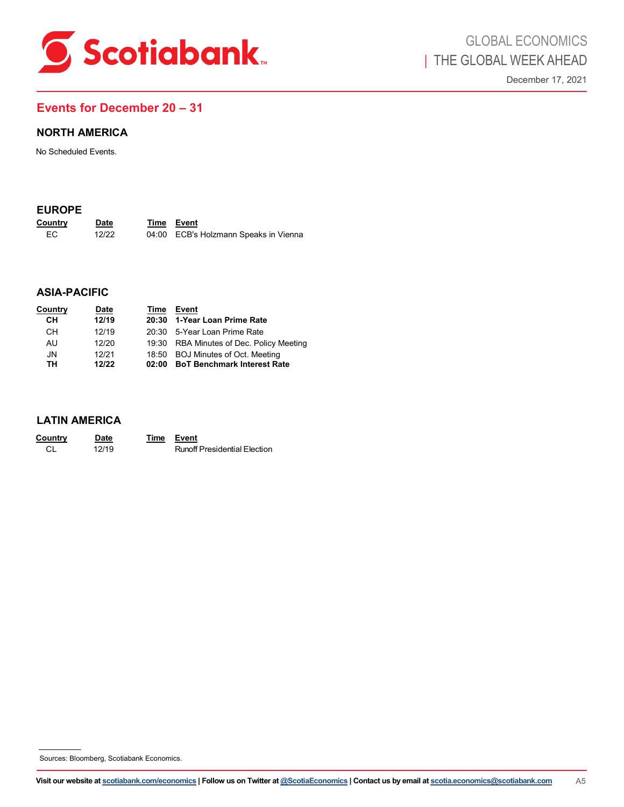<span id="page-10-0"></span>

## **Events for December 20 – 31**

### **EUROPE**

| Country | <b>Date</b> | Time Event                            |
|---------|-------------|---------------------------------------|
| EC.     | 12/22       | 04:00 ECB's Holzmann Speaks in Vienna |

### **ASIA-PACIFIC**

| <b>NORTH AMERICA</b>                      |                               |             |                                                                                                                                                   |                |
|-------------------------------------------|-------------------------------|-------------|---------------------------------------------------------------------------------------------------------------------------------------------------|----------------|
| No Scheduled Events.                      |                               |             |                                                                                                                                                   |                |
| <b>EUROPE</b><br>Country<br>$\mathsf{EC}$ | <b>Date</b><br>12/22          |             | Time Event<br>04:00 ECB's Holzmann Speaks in Vienna                                                                                               |                |
| <b>ASIA-PACIFIC</b>                       |                               |             |                                                                                                                                                   |                |
| Country<br>CH<br>CH                       | <b>Date</b><br>12/19<br>12/19 | 20:30       | Time Event<br>1-Year Loan Prime Rate<br>20:30 5-Year Loan Prime Rate                                                                              |                |
| AU<br>${\sf JN}$<br>TH                    | 12/20<br>12/21<br>12/22       |             | 19:30 RBA Minutes of Dec. Policy Meeting<br>18:50 BOJ Minutes of Oct. Meeting<br>02:00 BoT Benchmark Interest Rate                                |                |
| <b>LATIN AMERICA</b>                      |                               |             |                                                                                                                                                   |                |
| Country<br>$\mathsf{CL}$                  | <b>Date</b><br>12/19          | <b>Time</b> | Event<br><b>Runoff Presidential Election</b>                                                                                                      |                |
|                                           |                               |             |                                                                                                                                                   |                |
|                                           |                               |             |                                                                                                                                                   |                |
|                                           |                               |             |                                                                                                                                                   |                |
|                                           |                               |             |                                                                                                                                                   |                |
|                                           |                               |             |                                                                                                                                                   |                |
|                                           |                               |             |                                                                                                                                                   |                |
| Sources: Bloomberg, Scotiabank Economics. |                               |             |                                                                                                                                                   |                |
|                                           |                               |             | Visit our website at scotiabank.com/economics   Follow us on Twitter at @ScotiaEconomics   Contact us by email at scotia.economics@scotiabank.com | A <sub>5</sub> |

### **LATIN AMERICA**

| Country | Date  | <b>Time Event</b> |                                     |
|---------|-------|-------------------|-------------------------------------|
| CL      | 12/19 |                   | <b>Runoff Presidential Election</b> |

Sources: Bloomberg, Scotiabank Economics.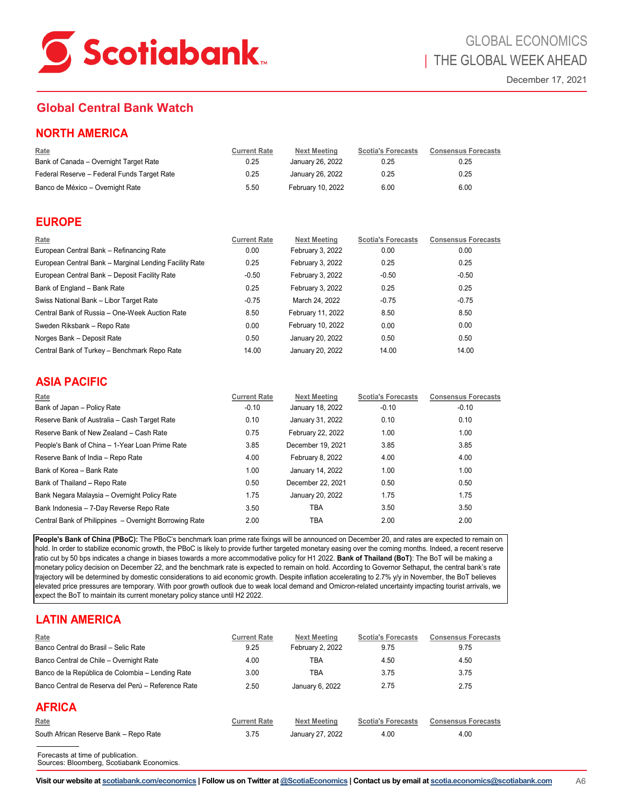<span id="page-11-0"></span>

# **Global Central Bank Watch**

| Rate                                        | <b>Current Rate</b> | Next Meeting      | <b>Scotia's Forecasts</b> | <b>Consensus Forecasts</b> |
|---------------------------------------------|---------------------|-------------------|---------------------------|----------------------------|
| Bank of Canada - Overnight Target Rate      | 0.25                | January 26, 2022  | 0.25                      | 0.25                       |
| Federal Reserve - Federal Funds Target Rate | 0.25                | January 26, 2022  | 0.25                      | 0.25                       |
| Banco de México - Overnight Rate            | 5.50                | February 10, 2022 | 6.00                      | 6.00                       |

## **EUROPE**

| Rate                                                   | <b>Current Rate</b> | <b>Next Meeting</b> | <b>Scotia's Forecasts</b> | <b>Consensus Forecasts</b> |
|--------------------------------------------------------|---------------------|---------------------|---------------------------|----------------------------|
| European Central Bank - Refinancing Rate               | 0.00                | February 3, 2022    | 0.00                      | 0.00                       |
| European Central Bank - Marginal Lending Facility Rate | 0.25                | February 3, 2022    | 0.25                      | 0.25                       |
| European Central Bank - Deposit Facility Rate          | $-0.50$             | February 3, 2022    | $-0.50$                   | $-0.50$                    |
| Bank of England - Bank Rate                            | 0.25                | February 3, 2022    | 0.25                      | 0.25                       |
| Swiss National Bank - Libor Target Rate                | $-0.75$             | March 24, 2022      | $-0.75$                   | $-0.75$                    |
| Central Bank of Russia - One-Week Auction Rate         | 8.50                | February 11, 2022   | 8.50                      | 8.50                       |
| Sweden Riksbank - Repo Rate                            | 0.00                | February 10, 2022   | 0.00                      | 0.00                       |
| Norges Bank - Deposit Rate                             | 0.50                | January 20, 2022    | 0.50                      | 0.50                       |
| Central Bank of Turkey - Benchmark Repo Rate           | 14.00               | January 20, 2022    | 14.00                     | 14.00                      |

## **ASIA PACIFIC**

| <b>NORTH AMERICA</b>                                                                                                                                                                                                                                                                                                                                                                                                                                                                                                                                                                                                                                                                                                                                                                                                                                                                                                                                                                                                                       |                             |                                         |                                   |                                    |
|--------------------------------------------------------------------------------------------------------------------------------------------------------------------------------------------------------------------------------------------------------------------------------------------------------------------------------------------------------------------------------------------------------------------------------------------------------------------------------------------------------------------------------------------------------------------------------------------------------------------------------------------------------------------------------------------------------------------------------------------------------------------------------------------------------------------------------------------------------------------------------------------------------------------------------------------------------------------------------------------------------------------------------------------|-----------------------------|-----------------------------------------|-----------------------------------|------------------------------------|
| <u>Rate</u><br>Bank of Canada - Overnight Target Rate                                                                                                                                                                                                                                                                                                                                                                                                                                                                                                                                                                                                                                                                                                                                                                                                                                                                                                                                                                                      | <b>Current Rate</b><br>0.25 | <b>Next Meeting</b><br>January 26, 2022 | <b>Scotia's Forecasts</b><br>0.25 | <b>Consensus Forecasts</b><br>0.25 |
| Federal Reserve - Federal Funds Target Rate                                                                                                                                                                                                                                                                                                                                                                                                                                                                                                                                                                                                                                                                                                                                                                                                                                                                                                                                                                                                | 0.25                        | January 26, 2022                        | 0.25                              | 0.25                               |
| Banco de México - Overnight Rate                                                                                                                                                                                                                                                                                                                                                                                                                                                                                                                                                                                                                                                                                                                                                                                                                                                                                                                                                                                                           | 5.50                        | February 10, 2022                       | 6.00                              | 6.00                               |
| <b>EUROPE</b>                                                                                                                                                                                                                                                                                                                                                                                                                                                                                                                                                                                                                                                                                                                                                                                                                                                                                                                                                                                                                              |                             |                                         |                                   |                                    |
| Rate<br>European Central Bank - Refinancing Rate                                                                                                                                                                                                                                                                                                                                                                                                                                                                                                                                                                                                                                                                                                                                                                                                                                                                                                                                                                                           | <b>Current Rate</b><br>0.00 | <b>Next Meeting</b><br>February 3, 2022 | <b>Scotia's Forecasts</b><br>0.00 | <b>Consensus Forecasts</b><br>0.00 |
| European Central Bank - Marginal Lending Facility Rate                                                                                                                                                                                                                                                                                                                                                                                                                                                                                                                                                                                                                                                                                                                                                                                                                                                                                                                                                                                     | 0.25                        | February 3, 2022                        | 0.25                              | 0.25                               |
| European Central Bank - Deposit Facility Rate                                                                                                                                                                                                                                                                                                                                                                                                                                                                                                                                                                                                                                                                                                                                                                                                                                                                                                                                                                                              | -0.50                       | February 3, 2022                        | $-0.50$                           | $-0.50$                            |
| Bank of England – Bank Rate                                                                                                                                                                                                                                                                                                                                                                                                                                                                                                                                                                                                                                                                                                                                                                                                                                                                                                                                                                                                                | 0.25                        | February 3, 2022                        | 0.25                              | 0.25                               |
| Swiss National Bank - Libor Target Rate                                                                                                                                                                                                                                                                                                                                                                                                                                                                                                                                                                                                                                                                                                                                                                                                                                                                                                                                                                                                    | $-0.75$                     | March 24, 2022                          | $-0.75$                           | $-0.75$                            |
| Central Bank of Russia - One-Week Auction Rate                                                                                                                                                                                                                                                                                                                                                                                                                                                                                                                                                                                                                                                                                                                                                                                                                                                                                                                                                                                             | 8.50                        | February 11, 2022                       | 8.50                              | 8.50                               |
| Sweden Riksbank - Repo Rate                                                                                                                                                                                                                                                                                                                                                                                                                                                                                                                                                                                                                                                                                                                                                                                                                                                                                                                                                                                                                | 0.00                        | February 10, 2022                       | 0.00                              | 0.00                               |
| Norges Bank - Deposit Rate                                                                                                                                                                                                                                                                                                                                                                                                                                                                                                                                                                                                                                                                                                                                                                                                                                                                                                                                                                                                                 | 0.50                        | January 20, 2022                        | 0.50                              | 0.50                               |
| Central Bank of Turkey - Benchmark Repo Rate                                                                                                                                                                                                                                                                                                                                                                                                                                                                                                                                                                                                                                                                                                                                                                                                                                                                                                                                                                                               | 14.00                       | January 20, 2022                        | 14.00                             | 14.00                              |
| <b>ASIA PACIFIC</b>                                                                                                                                                                                                                                                                                                                                                                                                                                                                                                                                                                                                                                                                                                                                                                                                                                                                                                                                                                                                                        |                             |                                         |                                   |                                    |
| <u>Rate</u>                                                                                                                                                                                                                                                                                                                                                                                                                                                                                                                                                                                                                                                                                                                                                                                                                                                                                                                                                                                                                                | <b>Current Rate</b>         | <b>Next Meeting</b>                     | <b>Scotia's Forecasts</b>         | <b>Consensus Forecasts</b>         |
| Bank of Japan - Policy Rate                                                                                                                                                                                                                                                                                                                                                                                                                                                                                                                                                                                                                                                                                                                                                                                                                                                                                                                                                                                                                | $-0.10$                     | January 18, 2022                        | $-0.10$                           | $-0.10$                            |
| Reserve Bank of Australia - Cash Target Rate                                                                                                                                                                                                                                                                                                                                                                                                                                                                                                                                                                                                                                                                                                                                                                                                                                                                                                                                                                                               | 0.10                        | January 31, 2022                        | 0.10                              | 0.10                               |
| Reserve Bank of New Zealand - Cash Rate                                                                                                                                                                                                                                                                                                                                                                                                                                                                                                                                                                                                                                                                                                                                                                                                                                                                                                                                                                                                    | 0.75                        | February 22, 2022                       | 1.00                              | 1.00                               |
| People's Bank of China - 1-Year Loan Prime Rate                                                                                                                                                                                                                                                                                                                                                                                                                                                                                                                                                                                                                                                                                                                                                                                                                                                                                                                                                                                            | 3.85                        | December 19, 2021                       | 3.85                              | 3.85                               |
| Reserve Bank of India - Repo Rate                                                                                                                                                                                                                                                                                                                                                                                                                                                                                                                                                                                                                                                                                                                                                                                                                                                                                                                                                                                                          | 4.00                        | February 8, 2022                        | 4.00                              | 4.00                               |
| Bank of Korea - Bank Rate                                                                                                                                                                                                                                                                                                                                                                                                                                                                                                                                                                                                                                                                                                                                                                                                                                                                                                                                                                                                                  | 1.00                        | January 14, 2022                        | 1.00                              | 1.00                               |
| Bank of Thailand - Repo Rate                                                                                                                                                                                                                                                                                                                                                                                                                                                                                                                                                                                                                                                                                                                                                                                                                                                                                                                                                                                                               | 0.50                        | December 22, 2021                       | 0.50                              | 0.50                               |
| Bank Negara Malaysia – Overnight Policy Rate                                                                                                                                                                                                                                                                                                                                                                                                                                                                                                                                                                                                                                                                                                                                                                                                                                                                                                                                                                                               | 1.75                        | January 20, 2022                        | 1.75                              | 1.75                               |
| Bank Indonesia – 7-Day Reverse Repo Rate                                                                                                                                                                                                                                                                                                                                                                                                                                                                                                                                                                                                                                                                                                                                                                                                                                                                                                                                                                                                   | 3.50                        | TBA                                     | 3.50                              | 3.50                               |
| Central Bank of Philippines - Overnight Borrowing Rate                                                                                                                                                                                                                                                                                                                                                                                                                                                                                                                                                                                                                                                                                                                                                                                                                                                                                                                                                                                     | 2.00                        | TBA                                     | 2.00                              | 2.00                               |
| People's Bank of China (PBoC): The PBoC's benchmark loan prime rate fixings will be announced on December 20, and rates are expected to remain on<br>hold. In order to stabilize economic growth, the PBoC is likely to provide further targeted monetary easing over the coming months. Indeed, a recent reserve<br>ratio cut by 50 bps indicates a change in biases towards a more accommodative policy for H1 2022. Bank of Thailand (BoT): The BoT will be making a<br>monetary policy decision on December 22, and the benchmark rate is expected to remain on hold. According to Governor Sethaput, the central bank's rate<br>trajectory will be determined by domestic considerations to aid economic growth. Despite inflation accelerating to 2.7% y/y in November, the BoT believes<br>elevated price pressures are temporary. With poor growth outlook due to weak local demand and Omicron-related uncertainty impacting tourist arrivals, we<br>expect the BoT to maintain its current monetary policy stance until H2 2022. |                             |                                         |                                   |                                    |
| <b>LATIN AMERICA</b>                                                                                                                                                                                                                                                                                                                                                                                                                                                                                                                                                                                                                                                                                                                                                                                                                                                                                                                                                                                                                       |                             |                                         |                                   |                                    |
| <u>Rate</u><br>Banco Central do Brasil - Selic Rate                                                                                                                                                                                                                                                                                                                                                                                                                                                                                                                                                                                                                                                                                                                                                                                                                                                                                                                                                                                        | <b>Current Rate</b><br>9.25 | <b>Next Meeting</b><br>February 2, 2022 | <b>Scotia's Forecasts</b><br>9.75 | <b>Consensus Forecasts</b><br>9.75 |
| Banco Central de Chile - Overnight Rate                                                                                                                                                                                                                                                                                                                                                                                                                                                                                                                                                                                                                                                                                                                                                                                                                                                                                                                                                                                                    | 4.00                        | TBA                                     | 4.50                              | 4.50                               |
| Banco de la República de Colombia - Lending Rate                                                                                                                                                                                                                                                                                                                                                                                                                                                                                                                                                                                                                                                                                                                                                                                                                                                                                                                                                                                           | 3.00                        | <b>TBA</b>                              | 3.75                              | 3.75                               |
| Banco Central de Reserva del Perú - Reference Rate                                                                                                                                                                                                                                                                                                                                                                                                                                                                                                                                                                                                                                                                                                                                                                                                                                                                                                                                                                                         | 2.50                        | January 6, 2022                         | 2.75                              | 2.75                               |
|                                                                                                                                                                                                                                                                                                                                                                                                                                                                                                                                                                                                                                                                                                                                                                                                                                                                                                                                                                                                                                            |                             |                                         |                                   |                                    |
| <b>AFRICA</b>                                                                                                                                                                                                                                                                                                                                                                                                                                                                                                                                                                                                                                                                                                                                                                                                                                                                                                                                                                                                                              |                             |                                         |                                   |                                    |
| <u>Rate</u>                                                                                                                                                                                                                                                                                                                                                                                                                                                                                                                                                                                                                                                                                                                                                                                                                                                                                                                                                                                                                                | <b>Current Rate</b>         | <b>Next Meeting</b>                     | <b>Scotia's Forecasts</b>         | <b>Consensus Forecasts</b>         |
| South African Reserve Bank - Repo Rate                                                                                                                                                                                                                                                                                                                                                                                                                                                                                                                                                                                                                                                                                                                                                                                                                                                                                                                                                                                                     | 3.75                        | January 27, 2022                        | 4.00                              | 4.00                               |
| Forecasts at time of publication.<br>Sources: Bloomberg, Scotiabank Economics.                                                                                                                                                                                                                                                                                                                                                                                                                                                                                                                                                                                                                                                                                                                                                                                                                                                                                                                                                             |                             |                                         |                                   |                                    |
| Visit our website at scotiabank.com/economics   Follow us on Twitter at @ScotiaEconomics   Contact us by email at scotia.economics@scotiabank.com                                                                                                                                                                                                                                                                                                                                                                                                                                                                                                                                                                                                                                                                                                                                                                                                                                                                                          |                             |                                         |                                   |                                    |

# **LATIN AMERICA**

| Rate                                               | <b>Current Rate</b> | <b>Next Meeting</b> | <b>Scotia's Forecasts</b> | <b>Consensus Forecasts</b> |
|----------------------------------------------------|---------------------|---------------------|---------------------------|----------------------------|
| Banco Central do Brasil - Selic Rate               | 9.25                | February 2, 2022    | 9.75                      | 9.75                       |
| Banco Central de Chile - Overnight Rate            | 4.00                | TBA                 | 4.50                      | 4.50                       |
| Banco de la República de Colombia - Lending Rate   | 3.00                | TBA                 | 3.75                      | 3.75                       |
| Banco Central de Reserva del Perú - Reference Rate | 2.50                | January 6, 2022     | 2.75                      | 2.75                       |
| <b>AFRICA</b>                                      |                     |                     |                           |                            |
| Rate                                               | <b>Current Rate</b> | <b>Next Meeting</b> | <b>Scotia's Forecasts</b> | <b>Consensus Forecasts</b> |
| South African Reserve Bank - Repo Rate             | 3.75                | January 27, 2022    | 4.00                      | 4.00                       |
|                                                    |                     |                     |                           |                            |